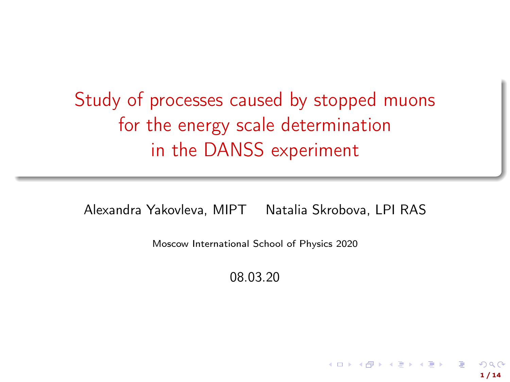Study of processes caused by stopped muons for the energy scale determination in the DANSS experiment

Alexandra Yakovleva, MIPT Natalia Skrobova, LPI RAS

Moscow International School of Physics 2020

08.03.20

1 / 14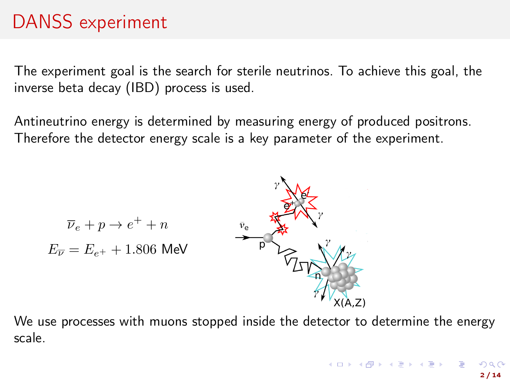# DANSS experiment

The experiment goal is the search for sterile neutrinos. To achieve this goal, the inverse beta decay (IBD) process is used.

Antineutrino energy is determined by measuring energy of produced positrons. Therefore the detector energy scale is a key parameter of the experiment.



We use processes with muons stopped inside the detector to determine the energy scale.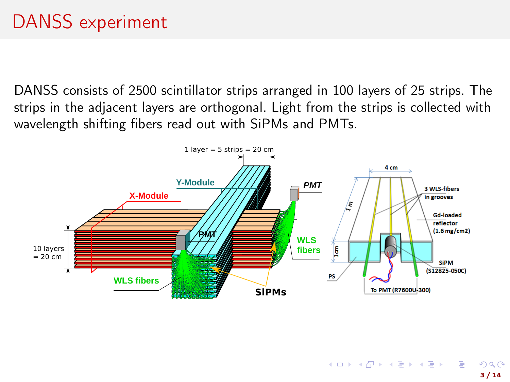# <span id="page-2-0"></span>DANSS experiment

DANSS consists of 2500 scintillator strips arranged in 100 layers of 25 strips. The strips in the adjacent layers are orthogonal. Light from the strips is collected with wavelength shifting fibers read out with SiPMs and PMTs.

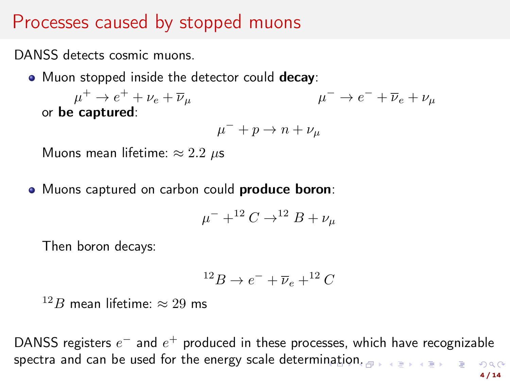### <span id="page-3-0"></span>Processes caused by stopped muons

DANSS detects cosmic muons.

• Muon stopped inside the detector could **decay**:

 $\mu^+ \to e^+ + \nu_e + \overline{\nu}_\mu$   $\mu$  $^{-} \rightarrow e^{-} + \overline{\nu}_{e} + \nu_{\mu}$ or be captured:

$$
\mu^- + p \rightarrow n + \nu_\mu
$$

Muons mean lifetime:  $\approx 2.2 \ \mu s$ 

• Muons captured on carbon could **produce boron**:

$$
\mu^- + ^{12}C \to ^{12}B + \nu_\mu
$$

Then boron decays:

$$
^{12}B \rightarrow e^- + \overline{\nu}_e + ^{12}C
$$

 $12B$  mean lifetime:  $\approx 29$  ms

DANSS registers  $e^-$  and  $e^+$  produced in these processes, which have recognizable spectra and can be used for the energy scale determi[na](#page-2-0)t[io](#page-4-0)[n.](#page-2-0)  $\sigma$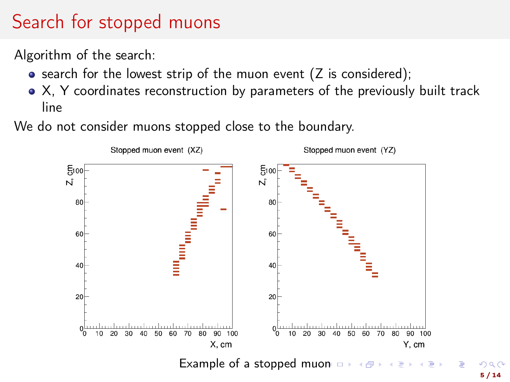# <span id="page-4-0"></span>Search for stopped muons

Algorithm of the search:

- $\bullet$  search for the lowest strip of the muon event (Z is considered);
- X, Y coordinates reconstruction by parameters of the previously built track line

We do not consider muons stopped close to the boundary.

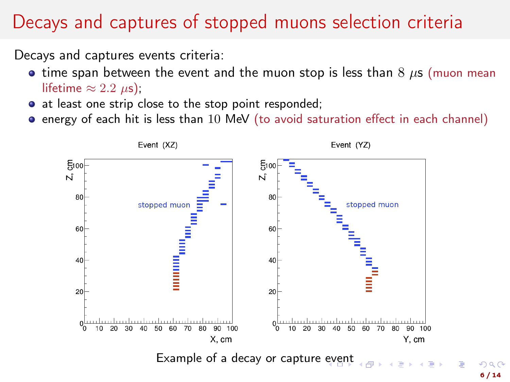## Decays and captures of stopped muons selection criteria

Decays and captures events criteria:

- time span between the event and the muon stop is less than  $8 \mu s$  (muon mean lifetime  $\approx 2.2 \ \mu s$ );
- at least one strip close to the stop point responded;
- $\bullet$  energy of each hit is less than 10 MeV (to avoid saturation effect in each channel)

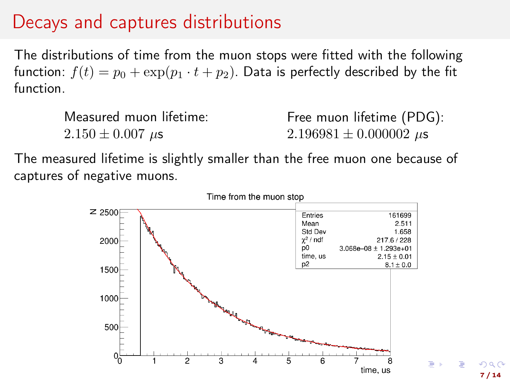## <span id="page-6-0"></span>Decays and captures distributions

The distributions of time from the muon stops were fitted with the following function:  $f(t) = p_0 + \exp(p_1 \cdot t + p_2)$ . Data is perfectly described by the fit function.

> Measured muon lifetime:  $2.150 \pm 0.007 \text{ \textit{u}}$ s Free muon lifetime (PDG):  $2.196981 \pm 0.000002 \mu s$

The measured lifetime is slightly smaller than the free muon one because of captures of negative muons.



7 / 14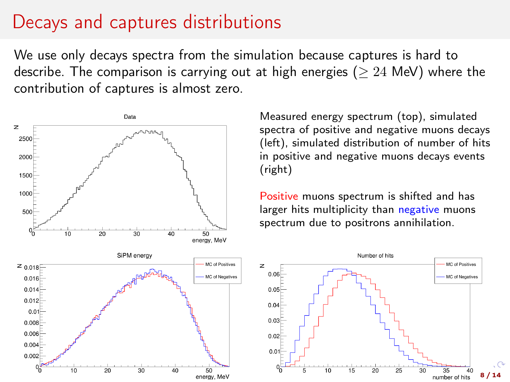#### Decays and captures distributions

We use only decays spectra from the simulation because captures is hard to describe. The comparison is carrying out at high energies ( $> 24$  MeV) where the contribution of captures is almost zero.



Measured energy spectrum (top), simulated spectra of positive and negative muons decays (left), simulated distribution of number of hits in positive and negative muons decays events (right)

Positive muons spectrum is shifted and has larger hits multiplicity than negative muons spectrum due to positrons annihilation.

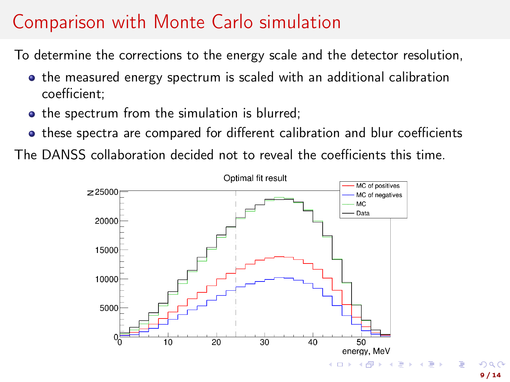## Comparison with Monte Carlo simulation

To determine the corrections to the energy scale and the detector resolution,

- the measured energy spectrum is scaled with an additional calibration coefficient;
- the spectrum from the simulation is blurred;
- these spectra are compared for different calibration and blur coefficients

The DANSS collaboration decided not to reveal the coefficients this time.

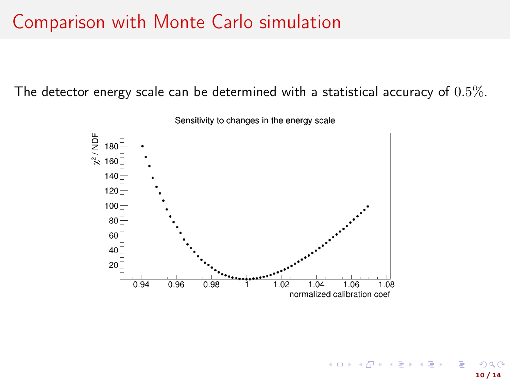#### Comparison with Monte Carlo simulation

The detector energy scale can be determined with a statistical accuracy of 0.5%.



Sensitivity to changes in the energy scale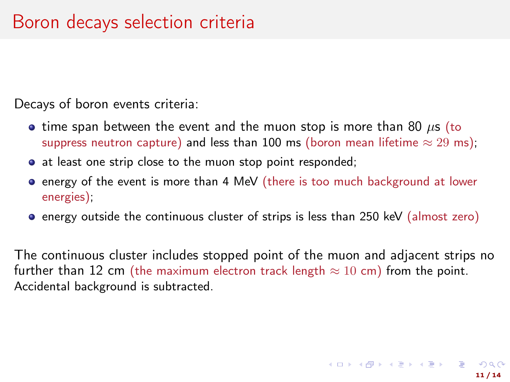Decays of boron events criteria:

- **time span between the event and the muon stop is more than 80**  $\mu$ **s (to** suppress neutron capture) and less than 100 ms (boron mean lifetime  $\approx 29$  ms);
- at least one strip close to the muon stop point responded;
- energy of the event is more than 4 MeV (there is too much background at lower energies);
- energy outside the continuous cluster of strips is less than 250 keV (almost zero)

The continuous cluster includes stopped point of the muon and adjacent strips no further than 12 cm (the maximum electron track length  $\approx 10$  cm) from the point. Accidental background is subtracted.

11 / 14

K ロ ▶ K @ ▶ K ミ ▶ K ミ ▶ │ 글 │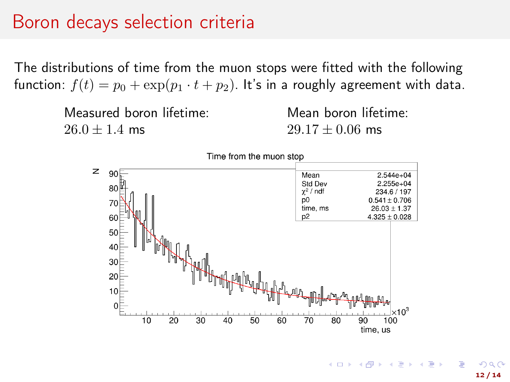#### Boron decays selection criteria

The distributions of time from the muon stops were fitted with the following function:  $f(t) = p_0 + \exp(p_1 \cdot t + p_2)$ . It's in a roughly agreement with data.



 $A \cup B \cup A \cup B \cup A \cup B \cup A \cup B \cup B$ 12 / 14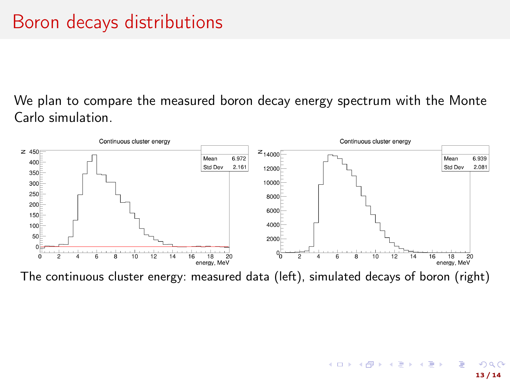## Boron decays distributions

We plan to compare the measured boron decay energy spectrum with the Monte Carlo simulation.



The continuous cluster energy: measured data (left), simulated decays of boron (right)